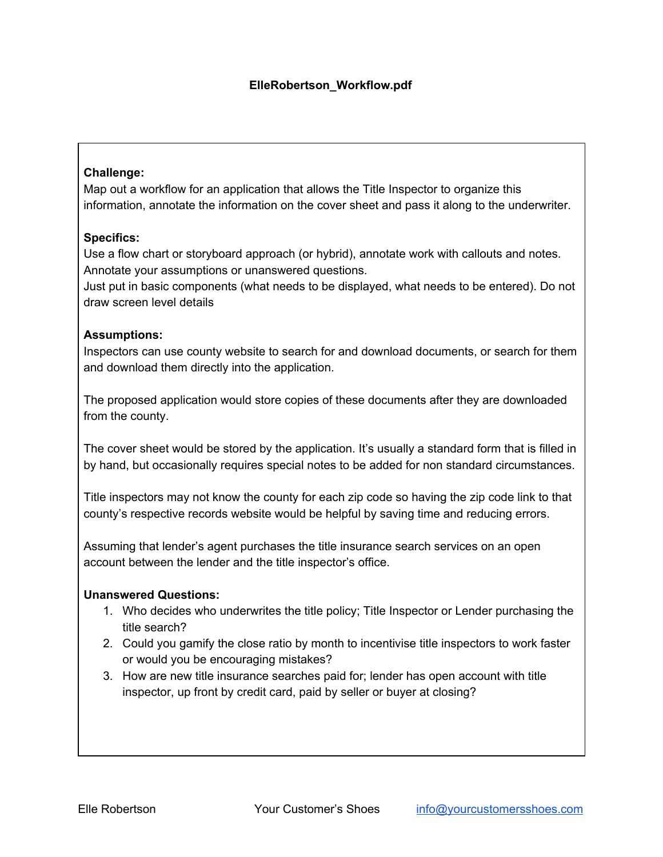# **Challenge:**

Map out a workflow for an application that allows the Title Inspector to organize this information, annotate the information on the cover sheet and pass it along to the underwriter.

# **Specifics:**

Use a flow chart or storyboard approach (or hybrid), annotate work with callouts and notes. Annotate your assumptions or unanswered questions.

Just put in basic components (what needs to be displayed, what needs to be entered). Do not draw screen level details

# **Assumptions:**

Inspectors can use county website to search for and download documents, or search for them and download them directly into the application.

The proposed application would store copies of these documents after they are downloaded from the county.

The cover sheet would be stored by the application. It's usually a standard form that is filled in by hand, but occasionally requires special notes to be added for non standard circumstances.

Title inspectors may not know the county for each zip code so having the zip code link to that county's respective records website would be helpful by saving time and reducing errors.

Assuming that lender's agent purchases the title insurance search services on an open account between the lender and the title inspector's office.

### **Unanswered Questions:**

- 1. Who decides who underwrites the title policy; Title Inspector or Lender purchasing the title search?
- 2. Could you gamify the close ratio by month to incentivise title inspectors to work faster or would you be encouraging mistakes?
- 3. How are new title insurance searches paid for; lender has open account with title inspector, up front by credit card, paid by seller or buyer at closing?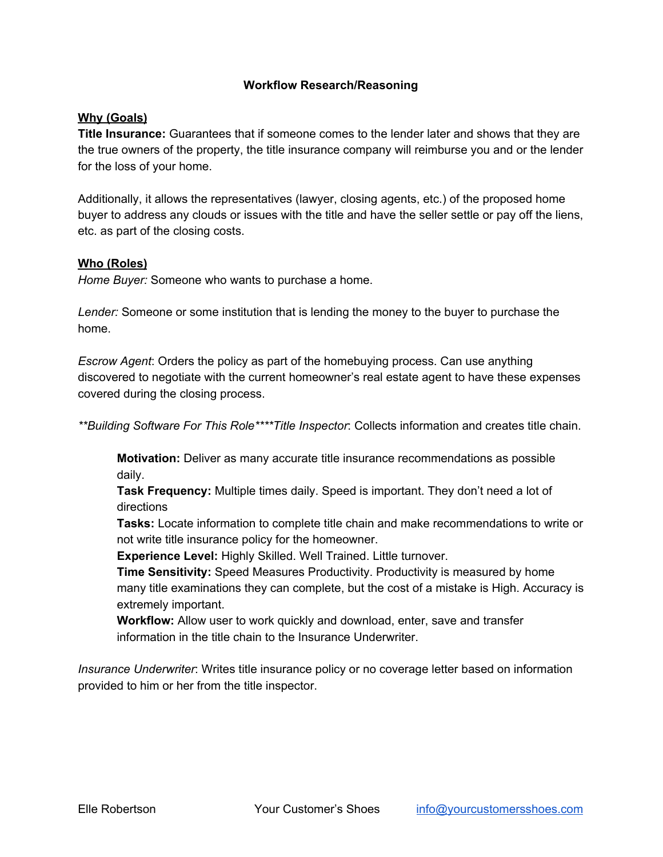### **Workflow Research/Reasoning**

#### **Why (Goals)**

**Title Insurance:** Guarantees that if someone comes to the lender later and shows that they are the true owners of the property, the title insurance company will reimburse you and or the lender for the loss of your home.

Additionally, it allows the representatives (lawyer, closing agents, etc.) of the proposed home buyer to address any clouds or issues with the title and have the seller settle or pay off the liens, etc. as part of the closing costs.

#### **Who (Roles)**

*Home Buyer:* Someone who wants to purchase a home.

*Lender:* Someone or some institution that is lending the money to the buyer to purchase the home.

*Escrow Agent*: Orders the policy as part of the homebuying process. Can use anything discovered to negotiate with the current homeowner's real estate agent to have these expenses covered during the closing process.

*\*\*Building Software For This Role\*\*\*\*Title Inspector*: Collects information and creates title chain.

**Motivation:** Deliver as many accurate title insurance recommendations as possible daily.

**Task Frequency:** Multiple times daily. Speed is important. They don't need a lot of directions

**Tasks:** Locate information to complete title chain and make recommendations to write or not write title insurance policy for the homeowner.

**Experience Level:** Highly Skilled. Well Trained. Little turnover.

**Time Sensitivity:** Speed Measures Productivity. Productivity is measured by home many title examinations they can complete, but the cost of a mistake is High. Accuracy is extremely important.

**Workflow:** Allow user to work quickly and download, enter, save and transfer information in the title chain to the Insurance Underwriter.

*Insurance Underwriter*: Writes title insurance policy or no coverage letter based on information provided to him or her from the title inspector.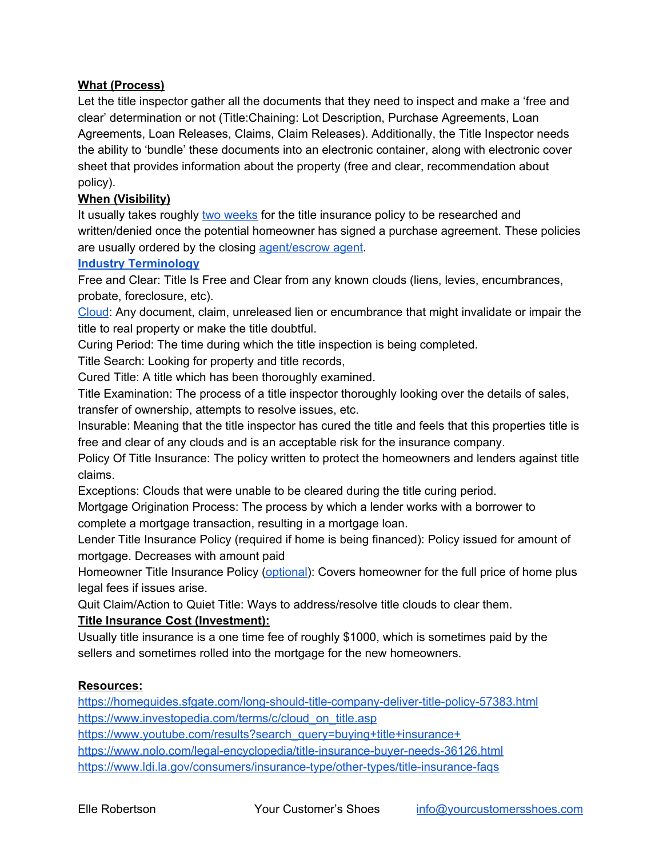# **What (Process)**

Let the title inspector gather all the documents that they need to inspect and make a 'free and clear' determination or not (Title:Chaining: Lot Description, Purchase Agreements, Loan Agreements, Loan Releases, Claims, Claim Releases). Additionally, the Title Inspector needs the ability to 'bundle' these documents into an electronic container, along with electronic cover sheet that provides information about the property (free and clear, recommendation about policy).

# **When (Visibility)**

It usually takes roughly [two weeks](https://homeguides.sfgate.com/long-should-title-company-deliver-title-policy-57383.html) for the title insurance policy to be researched and written/denied once the potential homeowner has signed a purchase agreement. These policies are usually ordered by the closing [agent/escrow agent](https://www.nolo.com/legal-encyclopedia/title-insurance-buyer-needs-36126.html).

### **[Industry Terminology](https://www.youtube.com/results?search_query=buying+title+insurance+)**

Free and Clear: Title Is Free and Clear from any known clouds (liens, levies, encumbrances, probate, foreclosure, etc).

[Cloud](https://www.investopedia.com/terms/c/cloud_on_title.asp): Any document, claim, unreleased lien or encumbrance that might invalidate or impair the title to real property or make the title doubtful.

Curing Period: The time during which the title inspection is being completed.

Title Search: Looking for property and title records,

Cured Title: A title which has been thoroughly examined.

Title Examination: The process of a title inspector thoroughly looking over the details of sales, transfer of ownership, attempts to resolve issues, etc.

Insurable: Meaning that the title inspector has cured the title and feels that this properties title is free and clear of any clouds and is an acceptable risk for the insurance company.

Policy Of Title Insurance: The policy written to protect the homeowners and lenders against title claims.

Exceptions: Clouds that were unable to be cleared during the title curing period.

Mortgage Origination Process: The process by which a lender works with a borrower to complete a mortgage transaction, resulting in a mortgage loan.

Lender Title Insurance Policy (required if home is being financed): Policy issued for amount of mortgage. Decreases with amount paid

Homeowner Title Insurance Policy [\(optional](https://www.ldi.la.gov/consumers/insurance-type/other-types/title-insurance-faqs)): Covers homeowner for the full price of home plus legal fees if issues arise.

Quit Claim/Action to Quiet Title: Ways to address/resolve title clouds to clear them.

### **Title Insurance Cost (Investment):**

Usually title insurance is a one time fee of roughly \$1000, which is sometimes paid by the sellers and sometimes rolled into the mortgage for the new homeowners.

### **Resources:**

<https://homeguides.sfgate.com/long-should-title-company-deliver-title-policy-57383.html> [https://www.investopedia.com/terms/c/cloud\\_on\\_title.asp](https://www.investopedia.com/terms/c/cloud_on_title.asp)

https://www.youtube.com/results?search\_query=buying+title+insurance+

<https://www.nolo.com/legal-encyclopedia/title-insurance-buyer-needs-36126.html>

<https://www.ldi.la.gov/consumers/insurance-type/other-types/title-insurance-faqs>